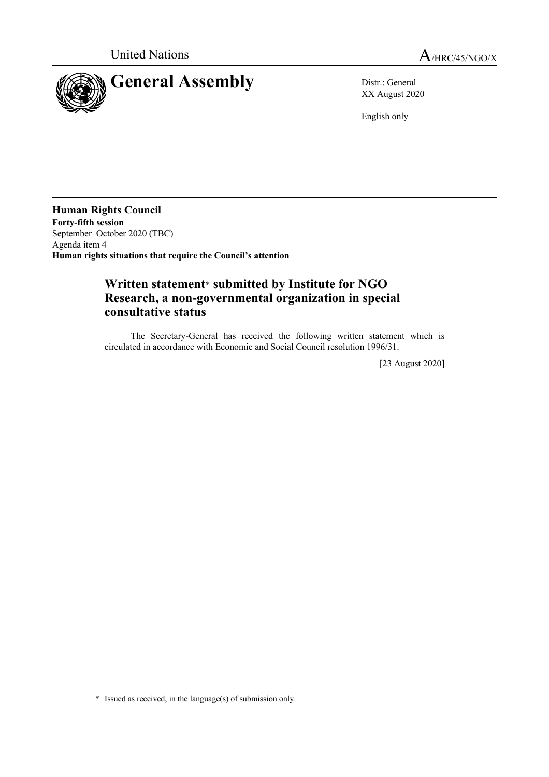

XX August 2020

English only

**Human Rights Council Forty-fifth session** September–October 2020 (TBC) Agenda item 4 **Human rights situations that require the Council's attention**

## **Written statement**\* **submitted by Institute for NGO Research, a non-governmental organization in special consultative status**

The Secretary-General has received the following written statement which is circulated in accordance with Economic and Social Council resolution 1996/31.

[23 August 2020]

<sup>\*</sup> Issued as received, in the language(s) of submission only.